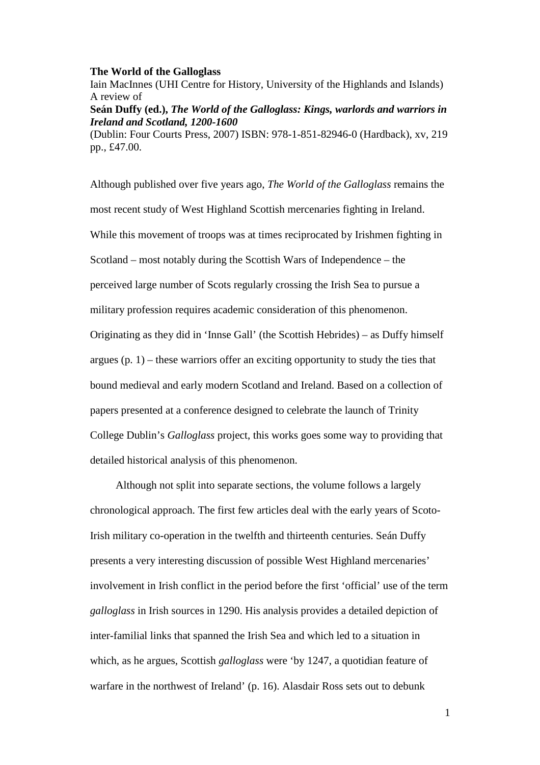## **The World of the Galloglass**

Iain MacInnes (UHI Centre for History, University of the Highlands and Islands) A review of

**Seán Duffy (ed.),** *The World of the Galloglass: Kings, warlords and warriors in Ireland and Scotland, 1200-1600*

(Dublin: Four Courts Press, 2007) ISBN: 978-1-851-82946-0 (Hardback), xv, 219 pp., £47.00.

Although published over five years ago, *The World of the Galloglass* remains the most recent study of West Highland Scottish mercenaries fighting in Ireland. While this movement of troops was at times reciprocated by Irishmen fighting in Scotland – most notably during the Scottish Wars of Independence – the perceived large number of Scots regularly crossing the Irish Sea to pursue a military profession requires academic consideration of this phenomenon. Originating as they did in 'Innse Gall' (the Scottish Hebrides) – as Duffy himself argues  $(p, 1)$  – these warriors offer an exciting opportunity to study the ties that bound medieval and early modern Scotland and Ireland. Based on a collection of papers presented at a conference designed to celebrate the launch of Trinity College Dublin's *Galloglass* project, this works goes some way to providing that detailed historical analysis of this phenomenon.

Although not split into separate sections, the volume follows a largely chronological approach. The first few articles deal with the early years of Scoto-Irish military co-operation in the twelfth and thirteenth centuries. Seán Duffy presents a very interesting discussion of possible West Highland mercenaries' involvement in Irish conflict in the period before the first 'official' use of the term *galloglass* in Irish sources in 1290. His analysis provides a detailed depiction of inter-familial links that spanned the Irish Sea and which led to a situation in which, as he argues, Scottish *galloglass* were 'by 1247, a quotidian feature of warfare in the northwest of Ireland' (p. 16). Alasdair Ross sets out to debunk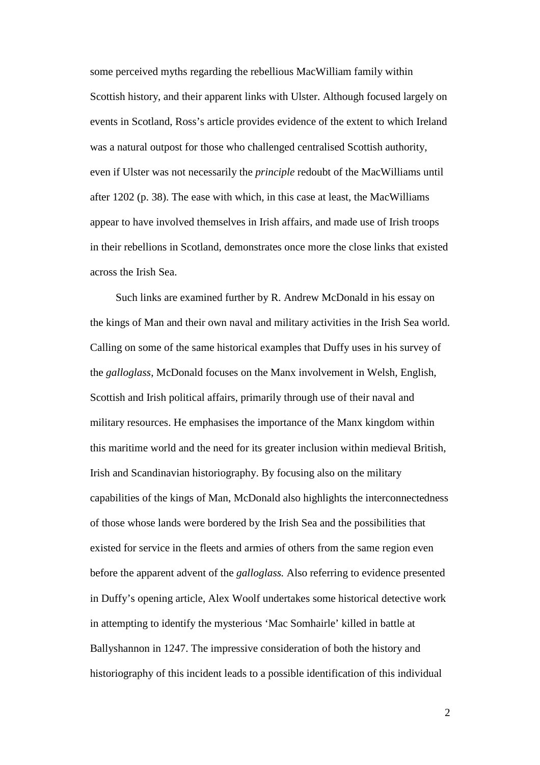some perceived myths regarding the rebellious MacWilliam family within Scottish history, and their apparent links with Ulster. Although focused largely on events in Scotland, Ross's article provides evidence of the extent to which Ireland was a natural outpost for those who challenged centralised Scottish authority, even if Ulster was not necessarily the *principle* redoubt of the MacWilliams until after 1202 (p. 38). The ease with which, in this case at least, the MacWilliams appear to have involved themselves in Irish affairs, and made use of Irish troops in their rebellions in Scotland, demonstrates once more the close links that existed across the Irish Sea.

Such links are examined further by R. Andrew McDonald in his essay on the kings of Man and their own naval and military activities in the Irish Sea world. Calling on some of the same historical examples that Duffy uses in his survey of the *galloglass*, McDonald focuses on the Manx involvement in Welsh, English, Scottish and Irish political affairs, primarily through use of their naval and military resources. He emphasises the importance of the Manx kingdom within this maritime world and the need for its greater inclusion within medieval British, Irish and Scandinavian historiography. By focusing also on the military capabilities of the kings of Man, McDonald also highlights the interconnectedness of those whose lands were bordered by the Irish Sea and the possibilities that existed for service in the fleets and armies of others from the same region even before the apparent advent of the *galloglass.* Also referring to evidence presented in Duffy's opening article, Alex Woolf undertakes some historical detective work in attempting to identify the mysterious 'Mac Somhairle' killed in battle at Ballyshannon in 1247. The impressive consideration of both the history and historiography of this incident leads to a possible identification of this individual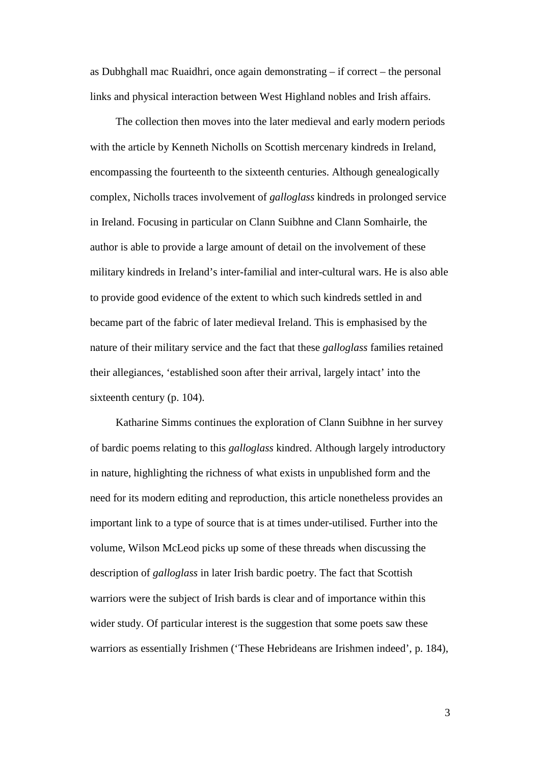as Dubhghall mac Ruaidhri, once again demonstrating – if correct – the personal links and physical interaction between West Highland nobles and Irish affairs.

The collection then moves into the later medieval and early modern periods with the article by Kenneth Nicholls on Scottish mercenary kindreds in Ireland, encompassing the fourteenth to the sixteenth centuries. Although genealogically complex, Nicholls traces involvement of *galloglass* kindreds in prolonged service in Ireland. Focusing in particular on Clann Suibhne and Clann Somhairle, the author is able to provide a large amount of detail on the involvement of these military kindreds in Ireland's inter-familial and inter-cultural wars. He is also able to provide good evidence of the extent to which such kindreds settled in and became part of the fabric of later medieval Ireland. This is emphasised by the nature of their military service and the fact that these *galloglass* families retained their allegiances, 'established soon after their arrival, largely intact' into the sixteenth century (p. 104).

Katharine Simms continues the exploration of Clann Suibhne in her survey of bardic poems relating to this *galloglass* kindred. Although largely introductory in nature, highlighting the richness of what exists in unpublished form and the need for its modern editing and reproduction, this article nonetheless provides an important link to a type of source that is at times under-utilised. Further into the volume, Wilson McLeod picks up some of these threads when discussing the description of *galloglass* in later Irish bardic poetry. The fact that Scottish warriors were the subject of Irish bards is clear and of importance within this wider study. Of particular interest is the suggestion that some poets saw these warriors as essentially Irishmen ('These Hebrideans are Irishmen indeed', p. 184),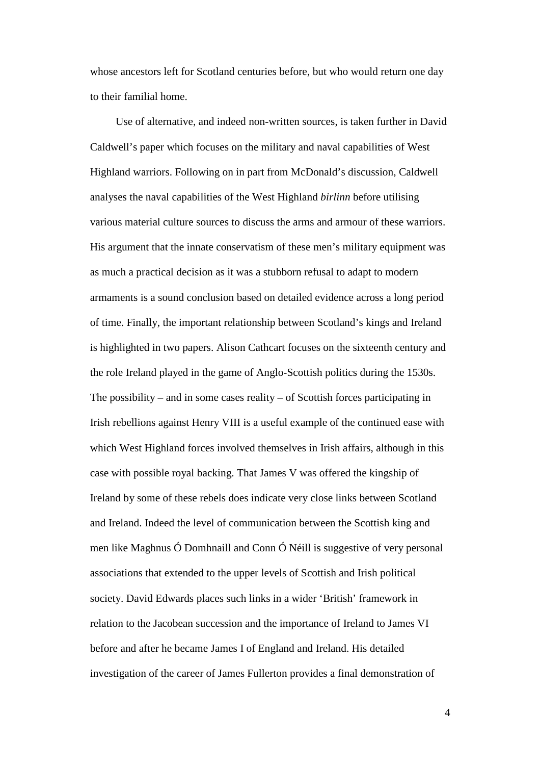whose ancestors left for Scotland centuries before, but who would return one day to their familial home.

Use of alternative, and indeed non-written sources, is taken further in David Caldwell's paper which focuses on the military and naval capabilities of West Highland warriors. Following on in part from McDonald's discussion, Caldwell analyses the naval capabilities of the West Highland *birlinn* before utilising various material culture sources to discuss the arms and armour of these warriors. His argument that the innate conservatism of these men's military equipment was as much a practical decision as it was a stubborn refusal to adapt to modern armaments is a sound conclusion based on detailed evidence across a long period of time. Finally, the important relationship between Scotland's kings and Ireland is highlighted in two papers. Alison Cathcart focuses on the sixteenth century and the role Ireland played in the game of Anglo-Scottish politics during the 1530s. The possibility – and in some cases reality – of Scottish forces participating in Irish rebellions against Henry VIII is a useful example of the continued ease with which West Highland forces involved themselves in Irish affairs, although in this case with possible royal backing. That James V was offered the kingship of Ireland by some of these rebels does indicate very close links between Scotland and Ireland. Indeed the level of communication between the Scottish king and men like Maghnus Ó Domhnaill and Conn Ó Néill is suggestive of very personal associations that extended to the upper levels of Scottish and Irish political society. David Edwards places such links in a wider 'British' framework in relation to the Jacobean succession and the importance of Ireland to James VI before and after he became James I of England and Ireland. His detailed investigation of the career of James Fullerton provides a final demonstration of